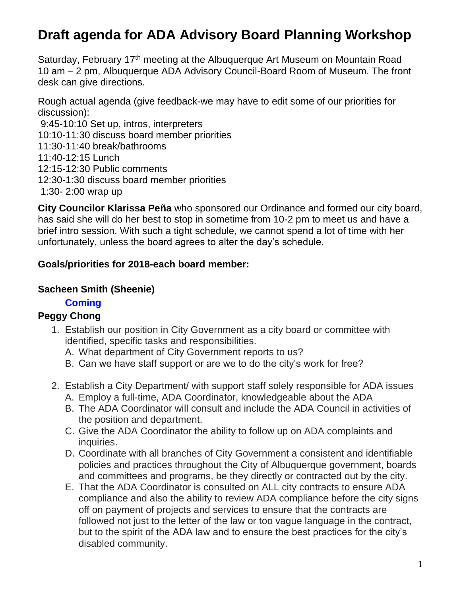# **Draft agenda for ADA Advisory Board Planning Workshop**

Saturday, February 17<sup>th</sup> meeting at the Albuquerque Art Museum on Mountain Road 10 am – 2 pm, Albuquerque ADA Advisory Council-Board Room of Museum. The front desk can give directions.

Rough actual agenda (give feedback-we may have to edit some of our priorities for discussion):

9:45-10:10 Set up, intros, interpreters 10:10-11:30 discuss board member priorities 11:30-11:40 break/bathrooms 11:40-12:15 Lunch 12:15-12:30 Public comments 12:30-1:30 discuss board member priorities 1:30- 2:00 wrap up

**City Councilor Klarissa Peña** who sponsored our Ordinance and formed our city board, has said she will do her best to stop in sometime from 10-2 pm to meet us and have a brief intro session. With such a tight schedule, we cannot spend a lot of time with her unfortunately, unless the board agrees to alter the day's schedule.

#### **Goals/priorities for 2018-each board member:**

#### **Sacheen Smith (Sheenie)**

#### **Coming**

## **Peggy Chong**

- 1. Establish our position in City Government as a city board or committee with identified, specific tasks and responsibilities.
	- A. What department of City Government reports to us?
	- B. Can we have staff support or are we to do the city's work for free?
- 2. Establish a City Department/ with support staff solely responsible for ADA issues
	- A. Employ a full-time, ADA Coordinator, knowledgeable about the ADA
	- B. The ADA Coordinator will consult and include the ADA Council in activities of the position and department.
	- C. Give the ADA Coordinator the ability to follow up on ADA complaints and inquiries.
	- D. Coordinate with all branches of City Government a consistent and identifiable policies and practices throughout the City of Albuquerque government, boards and committees and programs, be they directly or contracted out by the city.
	- E. That the ADA Coordinator is consulted on ALL city contracts to ensure ADA compliance and also the ability to review ADA compliance before the city signs off on payment of projects and services to ensure that the contracts are followed not just to the letter of the law or too vague language in the contract, but to the spirit of the ADA law and to ensure the best practices for the city's disabled community.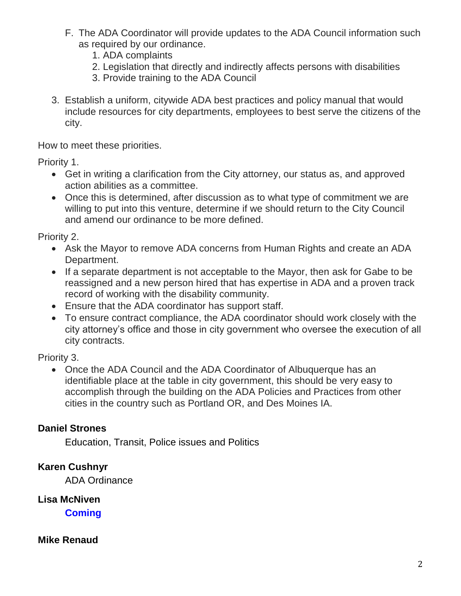- F. The ADA Coordinator will provide updates to the ADA Council information such as required by our ordinance.
	- 1. ADA complaints
	- 2. Legislation that directly and indirectly affects persons with disabilities
	- 3. Provide training to the ADA Council
- 3. Establish a uniform, citywide ADA best practices and policy manual that would include resources for city departments, employees to best serve the citizens of the city.

How to meet these priorities.

Priority 1.

- Get in writing a clarification from the City attorney, our status as, and approved action abilities as a committee.
- Once this is determined, after discussion as to what type of commitment we are willing to put into this venture, determine if we should return to the City Council and amend our ordinance to be more defined.

Priority 2.

- Ask the Mayor to remove ADA concerns from Human Rights and create an ADA Department.
- If a separate department is not acceptable to the Mayor, then ask for Gabe to be reassigned and a new person hired that has expertise in ADA and a proven track record of working with the disability community.
- Ensure that the ADA coordinator has support staff.
- To ensure contract compliance, the ADA coordinator should work closely with the city attorney's office and those in city government who oversee the execution of all city contracts.

Priority 3.

 Once the ADA Council and the ADA Coordinator of Albuquerque has an identifiable place at the table in city government, this should be very easy to accomplish through the building on the ADA Policies and Practices from other cities in the country such as Portland OR, and Des Moines IA.

## **Daniel Strones**

Education, Transit, Police issues and Politics

## **Karen Cushnyr**

ADA Ordinance

**Lisa McNiven**

**Coming**

#### **Mike Renaud**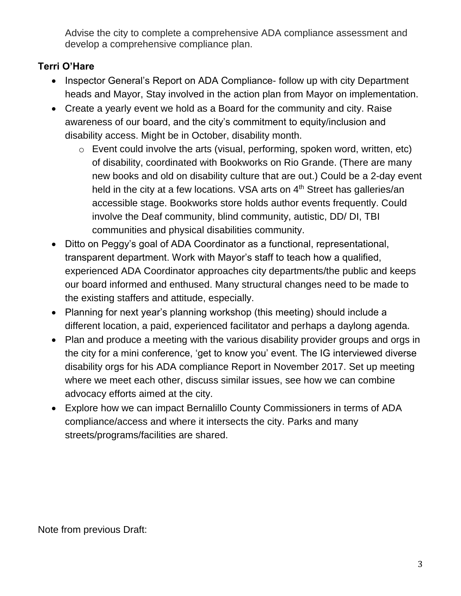Advise the city to complete a comprehensive ADA compliance assessment and develop a comprehensive compliance plan.

# **Terri O'Hare**

- Inspector General's Report on ADA Compliance- follow up with city Department heads and Mayor, Stay involved in the action plan from Mayor on implementation.
- Create a yearly event we hold as a Board for the community and city. Raise awareness of our board, and the city's commitment to equity/inclusion and disability access. Might be in October, disability month.
	- o Event could involve the arts (visual, performing, spoken word, written, etc) of disability, coordinated with Bookworks on Rio Grande. (There are many new books and old on disability culture that are out.) Could be a 2-day event held in the city at a few locations. VSA arts on 4<sup>th</sup> Street has galleries/an accessible stage. Bookworks store holds author events frequently. Could involve the Deaf community, blind community, autistic, DD/ DI, TBI communities and physical disabilities community.
- Ditto on Peggy's goal of ADA Coordinator as a functional, representational, transparent department. Work with Mayor's staff to teach how a qualified, experienced ADA Coordinator approaches city departments/the public and keeps our board informed and enthused. Many structural changes need to be made to the existing staffers and attitude, especially.
- Planning for next year's planning workshop (this meeting) should include a different location, a paid, experienced facilitator and perhaps a daylong agenda.
- Plan and produce a meeting with the various disability provider groups and orgs in the city for a mini conference, 'get to know you' event. The IG interviewed diverse disability orgs for his ADA compliance Report in November 2017. Set up meeting where we meet each other, discuss similar issues, see how we can combine advocacy efforts aimed at the city.
- Explore how we can impact Bernalillo County Commissioners in terms of ADA compliance/access and where it intersects the city. Parks and many streets/programs/facilities are shared.

Note from previous Draft: